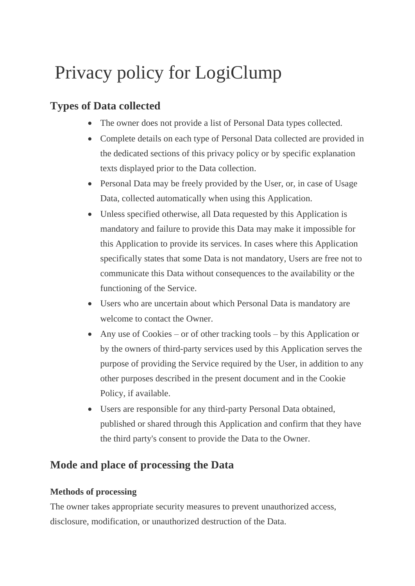# Privacy policy for LogiClump

# **Types of Data collected**

- The owner does not provide a list of Personal Data types collected.
- Complete details on each type of Personal Data collected are provided in the dedicated sections of this privacy policy or by specific explanation texts displayed prior to the Data collection.
- Personal Data may be freely provided by the User, or, in case of Usage Data, collected automatically when using this Application.
- Unless specified otherwise, all Data requested by this Application is mandatory and failure to provide this Data may make it impossible for this Application to provide its services. In cases where this Application specifically states that some Data is not mandatory, Users are free not to communicate this Data without consequences to the availability or the functioning of the Service.
- Users who are uncertain about which Personal Data is mandatory are welcome to contact the Owner.
- Any use of Cookies or of other tracking tools by this Application or by the owners of third-party services used by this Application serves the purpose of providing the Service required by the User, in addition to any other purposes described in the present document and in the Cookie Policy, if available.
- Users are responsible for any third-party Personal Data obtained, published or shared through this Application and confirm that they have the third party's consent to provide the Data to the Owner.

# **Mode and place of processing the Data**

# **Methods of processing**

The owner takes appropriate security measures to prevent unauthorized access, disclosure, modification, or unauthorized destruction of the Data.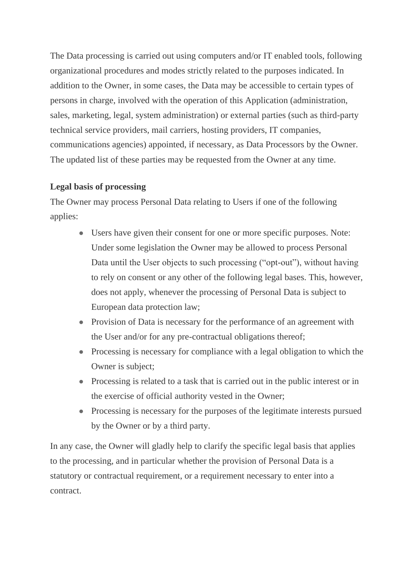The Data processing is carried out using computers and/or IT enabled tools, following organizational procedures and modes strictly related to the purposes indicated. In addition to the Owner, in some cases, the Data may be accessible to certain types of persons in charge, involved with the operation of this Application (administration, sales, marketing, legal, system administration) or external parties (such as third-party technical service providers, mail carriers, hosting providers, IT companies, communications agencies) appointed, if necessary, as Data Processors by the Owner. The updated list of these parties may be requested from the Owner at any time.

# **Legal basis of processing**

The Owner may process Personal Data relating to Users if one of the following applies:

- Users have given their consent for one or more specific purposes. Note: Under some legislation the Owner may be allowed to process Personal Data until the User objects to such processing ("opt-out"), without having to rely on consent or any other of the following legal bases. This, however, does not apply, whenever the processing of Personal Data is subject to European data protection law;
- Provision of Data is necessary for the performance of an agreement with the User and/or for any pre-contractual obligations thereof;
- Processing is necessary for compliance with a legal obligation to which the Owner is subject;
- Processing is related to a task that is carried out in the public interest or in the exercise of official authority vested in the Owner;
- Processing is necessary for the purposes of the legitimate interests pursued by the Owner or by a third party.

In any case, the Owner will gladly help to clarify the specific legal basis that applies to the processing, and in particular whether the provision of Personal Data is a statutory or contractual requirement, or a requirement necessary to enter into a contract.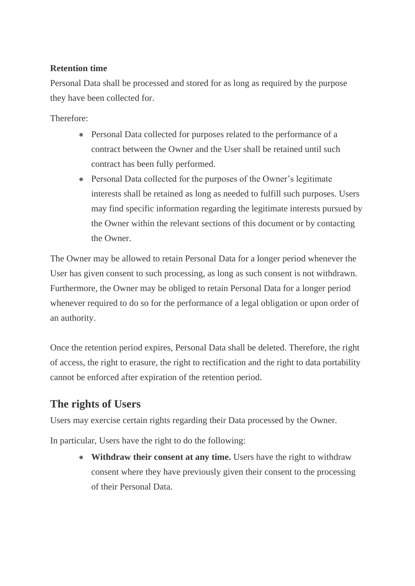# **Retention time**

Personal Data shall be processed and stored for as long as required by the purpose they have been collected for.

Therefore:

- Personal Data collected for purposes related to the performance of a contract between the Owner and the User shall be retained until such contract has been fully performed.
- Personal Data collected for the purposes of the Owner's legitimate interests shall be retained as long as needed to fulfill such purposes. Users may find specific information regarding the legitimate interests pursued by the Owner within the relevant sections of this document or by contacting the Owner.

The Owner may be allowed to retain Personal Data for a longer period whenever the User has given consent to such processing, as long as such consent is not withdrawn. Furthermore, the Owner may be obliged to retain Personal Data for a longer period whenever required to do so for the performance of a legal obligation or upon order of an authority.

Once the retention period expires, Personal Data shall be deleted. Therefore, the right of access, the right to erasure, the right to rectification and the right to data portability cannot be enforced after expiration of the retention period.

# **The rights of Users**

Users may exercise certain rights regarding their Data processed by the Owner.

In particular, Users have the right to do the following:

• **Withdraw their consent at any time.** Users have the right to withdraw consent where they have previously given their consent to the processing of their Personal Data.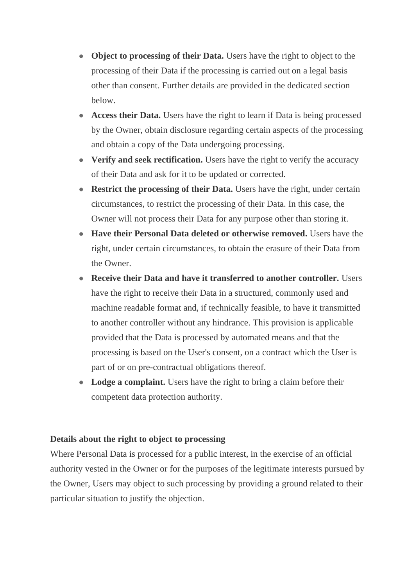- **Object to processing of their Data.** Users have the right to object to the processing of their Data if the processing is carried out on a legal basis other than consent. Further details are provided in the dedicated section below.
- **Access their Data.** Users have the right to learn if Data is being processed by the Owner, obtain disclosure regarding certain aspects of the processing and obtain a copy of the Data undergoing processing.
- **Verify and seek rectification.** Users have the right to verify the accuracy of their Data and ask for it to be updated or corrected.
- **Restrict the processing of their Data.** Users have the right, under certain circumstances, to restrict the processing of their Data. In this case, the Owner will not process their Data for any purpose other than storing it.
- **Have their Personal Data deleted or otherwise removed.** Users have the right, under certain circumstances, to obtain the erasure of their Data from the Owner.
- **Receive their Data and have it transferred to another controller.** Users have the right to receive their Data in a structured, commonly used and machine readable format and, if technically feasible, to have it transmitted to another controller without any hindrance. This provision is applicable provided that the Data is processed by automated means and that the processing is based on the User's consent, on a contract which the User is part of or on pre-contractual obligations thereof.
- Lodge a complaint. Users have the right to bring a claim before their competent data protection authority.

# **Details about the right to object to processing**

Where Personal Data is processed for a public interest, in the exercise of an official authority vested in the Owner or for the purposes of the legitimate interests pursued by the Owner, Users may object to such processing by providing a ground related to their particular situation to justify the objection.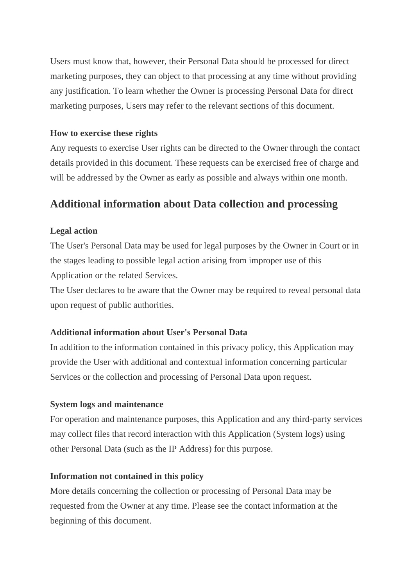Users must know that, however, their Personal Data should be processed for direct marketing purposes, they can object to that processing at any time without providing any justification. To learn whether the Owner is processing Personal Data for direct marketing purposes, Users may refer to the relevant sections of this document.

### **How to exercise these rights**

Any requests to exercise User rights can be directed to the Owner through the contact details provided in this document. These requests can be exercised free of charge and will be addressed by the Owner as early as possible and always within one month.

# **Additional information about Data collection and processing**

# **Legal action**

The User's Personal Data may be used for legal purposes by the Owner in Court or in the stages leading to possible legal action arising from improper use of this Application or the related Services.

The User declares to be aware that the Owner may be required to reveal personal data upon request of public authorities.

# **Additional information about User's Personal Data**

In addition to the information contained in this privacy policy, this Application may provide the User with additional and contextual information concerning particular Services or the collection and processing of Personal Data upon request.

#### **System logs and maintenance**

For operation and maintenance purposes, this Application and any third-party services may collect files that record interaction with this Application (System logs) using other Personal Data (such as the IP Address) for this purpose.

#### **Information not contained in this policy**

More details concerning the collection or processing of Personal Data may be requested from the Owner at any time. Please see the contact information at the beginning of this document.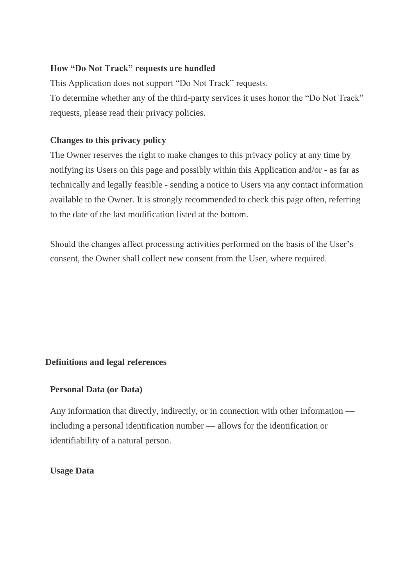# **How "Do Not Track" requests are handled**

This Application does not support "Do Not Track" requests. To determine whether any of the third-party services it uses honor the "Do Not Track" requests, please read their privacy policies.

# **Changes to this privacy policy**

The Owner reserves the right to make changes to this privacy policy at any time by notifying its Users on this page and possibly within this Application and/or - as far as technically and legally feasible - sending a notice to Users via any contact information available to the Owner. It is strongly recommended to check this page often, referring to the date of the last modification listed at the bottom.

Should the changes affect processing activities performed on the basis of the User's consent, the Owner shall collect new consent from the User, where required.

# **Definitions and legal references**

#### **Personal Data (or Data)**

Any information that directly, indirectly, or in connection with other information including a personal identification number — allows for the identification or identifiability of a natural person.

#### **Usage Data**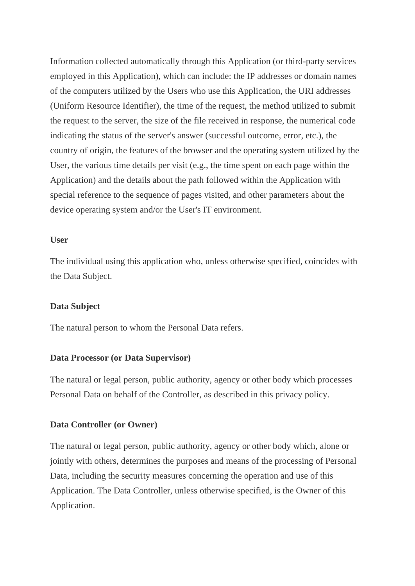Information collected automatically through this Application (or third-party services employed in this Application), which can include: the IP addresses or domain names of the computers utilized by the Users who use this Application, the URI addresses (Uniform Resource Identifier), the time of the request, the method utilized to submit the request to the server, the size of the file received in response, the numerical code indicating the status of the server's answer (successful outcome, error, etc.), the country of origin, the features of the browser and the operating system utilized by the User, the various time details per visit (e.g., the time spent on each page within the Application) and the details about the path followed within the Application with special reference to the sequence of pages visited, and other parameters about the device operating system and/or the User's IT environment.

#### **User**

The individual using this application who, unless otherwise specified, coincides with the Data Subject.

#### **Data Subject**

The natural person to whom the Personal Data refers.

#### **Data Processor (or Data Supervisor)**

The natural or legal person, public authority, agency or other body which processes Personal Data on behalf of the Controller, as described in this privacy policy.

#### **Data Controller (or Owner)**

The natural or legal person, public authority, agency or other body which, alone or jointly with others, determines the purposes and means of the processing of Personal Data, including the security measures concerning the operation and use of this Application. The Data Controller, unless otherwise specified, is the Owner of this Application.